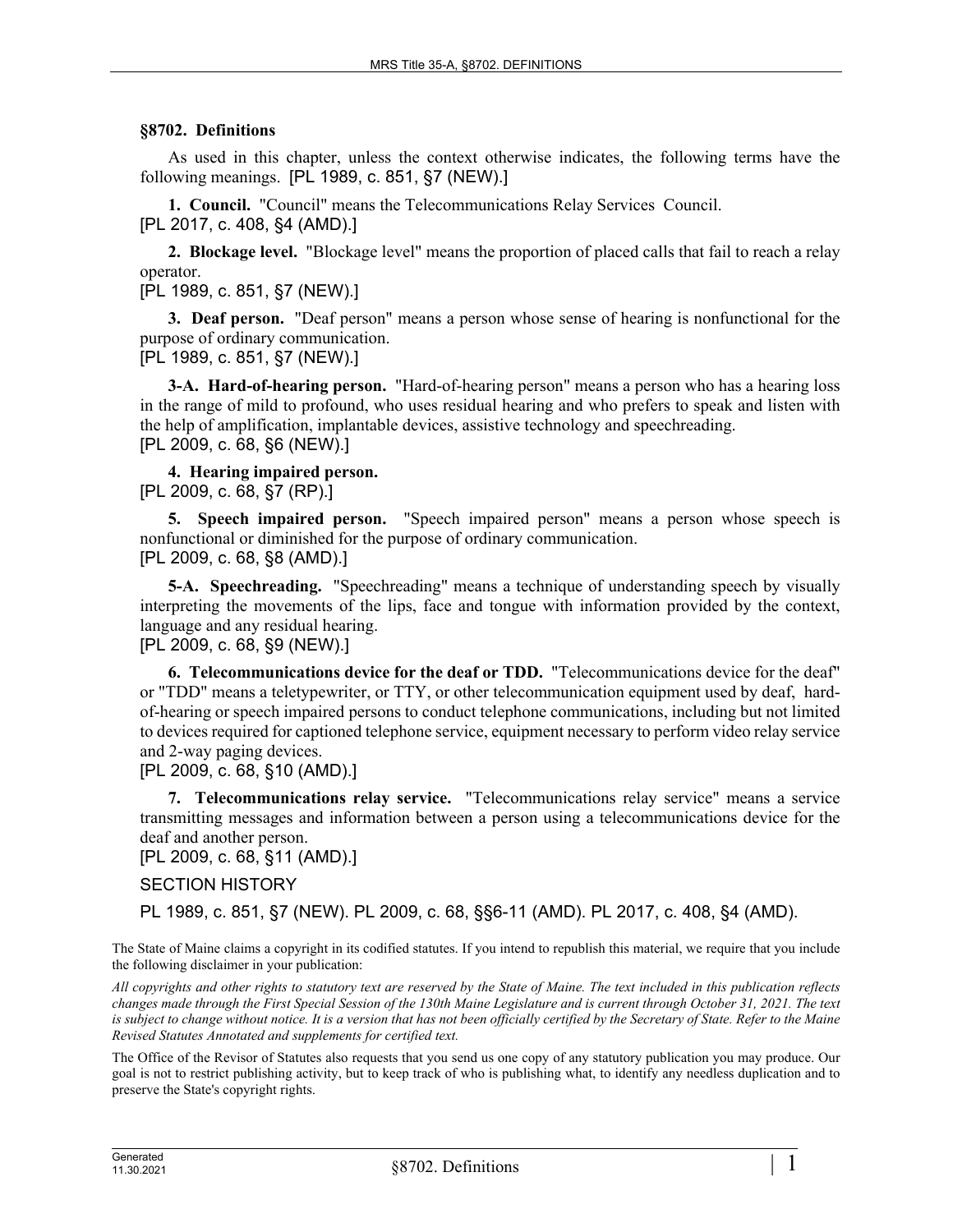## **§8702. Definitions**

As used in this chapter, unless the context otherwise indicates, the following terms have the following meanings. [PL 1989, c. 851, §7 (NEW).]

**1. Council.** "Council" means the Telecommunications Relay Services Council. [PL 2017, c. 408, §4 (AMD).]

**2. Blockage level.** "Blockage level" means the proportion of placed calls that fail to reach a relay operator.

[PL 1989, c. 851, §7 (NEW).]

**3. Deaf person.** "Deaf person" means a person whose sense of hearing is nonfunctional for the purpose of ordinary communication.

[PL 1989, c. 851, §7 (NEW).]

**3-A. Hard-of-hearing person.** "Hard-of-hearing person" means a person who has a hearing loss in the range of mild to profound, who uses residual hearing and who prefers to speak and listen with the help of amplification, implantable devices, assistive technology and speechreading. [PL 2009, c. 68, §6 (NEW).]

**4. Hearing impaired person.**  [PL 2009, c. 68, §7 (RP).]

**5. Speech impaired person.** "Speech impaired person" means a person whose speech is nonfunctional or diminished for the purpose of ordinary communication.

[PL 2009, c. 68, §8 (AMD).]

**5-A. Speechreading.** "Speechreading" means a technique of understanding speech by visually interpreting the movements of the lips, face and tongue with information provided by the context, language and any residual hearing.

[PL 2009, c. 68, §9 (NEW).]

**6. Telecommunications device for the deaf or TDD.** "Telecommunications device for the deaf" or "TDD" means a teletypewriter, or TTY, or other telecommunication equipment used by deaf, hardof-hearing or speech impaired persons to conduct telephone communications, including but not limited to devices required for captioned telephone service, equipment necessary to perform video relay service and 2-way paging devices.

[PL 2009, c. 68, §10 (AMD).]

**7. Telecommunications relay service.** "Telecommunications relay service" means a service transmitting messages and information between a person using a telecommunications device for the deaf and another person.

[PL 2009, c. 68, §11 (AMD).]

## SECTION HISTORY

PL 1989, c. 851, §7 (NEW). PL 2009, c. 68, §§6-11 (AMD). PL 2017, c. 408, §4 (AMD).

The State of Maine claims a copyright in its codified statutes. If you intend to republish this material, we require that you include the following disclaimer in your publication:

*All copyrights and other rights to statutory text are reserved by the State of Maine. The text included in this publication reflects changes made through the First Special Session of the 130th Maine Legislature and is current through October 31, 2021. The text*  is subject to change without notice. It is a version that has not been officially certified by the Secretary of State. Refer to the Maine *Revised Statutes Annotated and supplements for certified text.*

The Office of the Revisor of Statutes also requests that you send us one copy of any statutory publication you may produce. Our goal is not to restrict publishing activity, but to keep track of who is publishing what, to identify any needless duplication and to preserve the State's copyright rights.